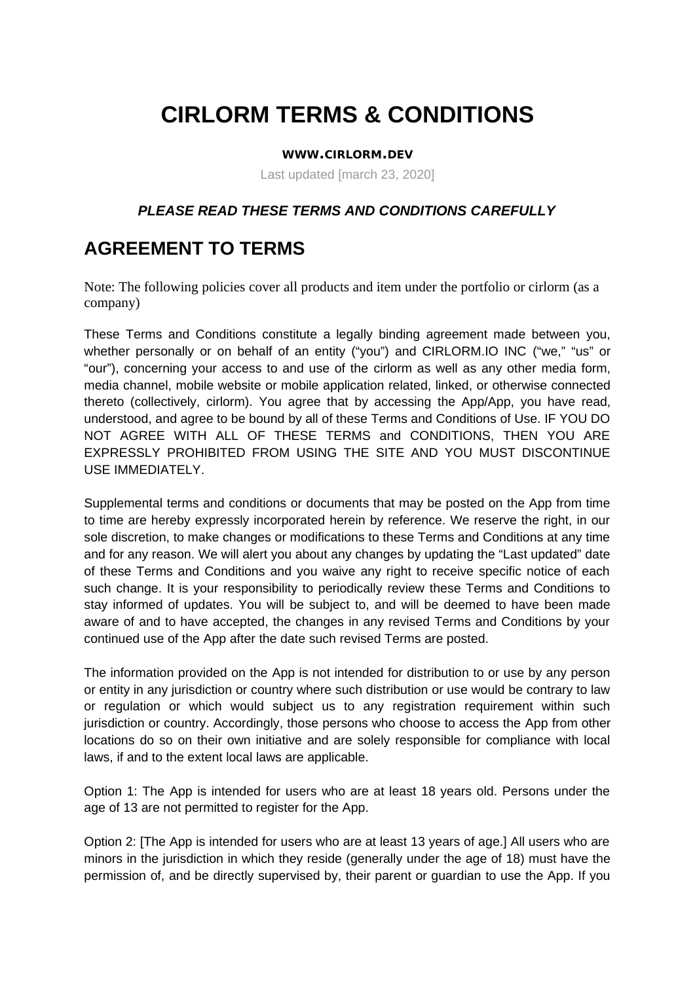# **CIRLORM TERMS & CONDITIONS**

#### **WWW.CIRLORM.DEV**

Last updated [march 23, 2020]

#### *PLEASE READ THESE TERMS AND CONDITIONS CAREFULLY*

### **AGREEMENT TO TERMS**

Note: The following policies cover all products and item under the portfolio or cirlorm (as a company)

These Terms and Conditions constitute a legally binding agreement made between you, whether personally or on behalf of an entity ("you") and CIRLORM.IO INC ("we," "us" or "our"), concerning your access to and use of the cirlorm as well as any other media form, media channel, mobile website or mobile application related, linked, or otherwise connected thereto (collectively, cirlorm). You agree that by accessing the App/App, you have read, understood, and agree to be bound by all of these Terms and Conditions of Use. IF YOU DO NOT AGREE WITH ALL OF THESE TERMS and CONDITIONS, THEN YOU ARE EXPRESSLY PROHIBITED FROM USING THE SITE AND YOU MUST DISCONTINUE USE IMMEDIATELY.

Supplemental terms and conditions or documents that may be posted on the App from time to time are hereby expressly incorporated herein by reference. We reserve the right, in our sole discretion, to make changes or modifications to these Terms and Conditions at any time and for any reason. We will alert you about any changes by updating the "Last updated" date of these Terms and Conditions and you waive any right to receive specific notice of each such change. It is your responsibility to periodically review these Terms and Conditions to stay informed of updates. You will be subject to, and will be deemed to have been made aware of and to have accepted, the changes in any revised Terms and Conditions by your continued use of the App after the date such revised Terms are posted.

The information provided on the App is not intended for distribution to or use by any person or entity in any jurisdiction or country where such distribution or use would be contrary to law or regulation or which would subject us to any registration requirement within such jurisdiction or country. Accordingly, those persons who choose to access the App from other locations do so on their own initiative and are solely responsible for compliance with local laws, if and to the extent local laws are applicable.

Option 1: The App is intended for users who are at least 18 years old. Persons under the age of 13 are not permitted to register for the App.

Option 2: [The App is intended for users who are at least 13 years of age.] All users who are minors in the jurisdiction in which they reside (generally under the age of 18) must have the permission of, and be directly supervised by, their parent or guardian to use the App. If you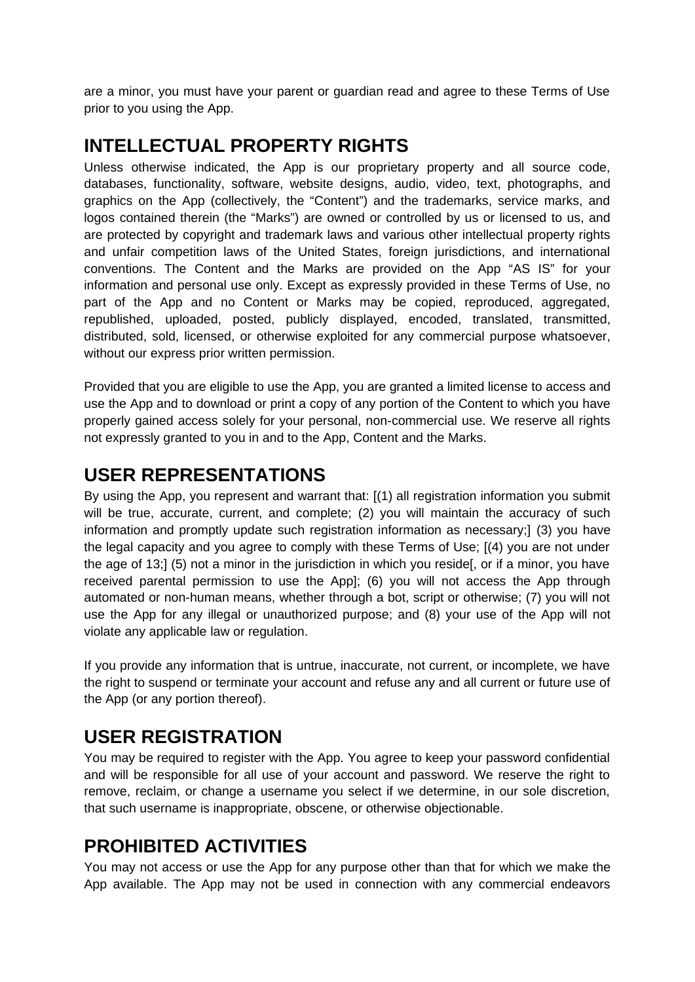are a minor, you must have your parent or guardian read and agree to these Terms of Use prior to you using the App.

### **INTELLECTUAL PROPERTY RIGHTS**

Unless otherwise indicated, the App is our proprietary property and all source code, databases, functionality, software, website designs, audio, video, text, photographs, and graphics on the App (collectively, the "Content") and the trademarks, service marks, and logos contained therein (the "Marks") are owned or controlled by us or licensed to us, and are protected by copyright and trademark laws and various other intellectual property rights and unfair competition laws of the United States, foreign jurisdictions, and international conventions. The Content and the Marks are provided on the App "AS IS" for your information and personal use only. Except as expressly provided in these Terms of Use, no part of the App and no Content or Marks may be copied, reproduced, aggregated, republished, uploaded, posted, publicly displayed, encoded, translated, transmitted, distributed, sold, licensed, or otherwise exploited for any commercial purpose whatsoever, without our express prior written permission.

Provided that you are eligible to use the App, you are granted a limited license to access and use the App and to download or print a copy of any portion of the Content to which you have properly gained access solely for your personal, non-commercial use. We reserve all rights not expressly granted to you in and to the App, Content and the Marks.

### **USER REPRESENTATIONS**

By using the App, you represent and warrant that: [(1) all registration information you submit will be true, accurate, current, and complete; (2) you will maintain the accuracy of such information and promptly update such registration information as necessary;] (3) you have the legal capacity and you agree to comply with these Terms of Use; [(4) you are not under the age of 13;] (5) not a minor in the jurisdiction in which you reside[, or if a minor, you have received parental permission to use the App]; (6) you will not access the App through automated or non-human means, whether through a bot, script or otherwise; (7) you will not use the App for any illegal or unauthorized purpose; and (8) your use of the App will not violate any applicable law or regulation.

If you provide any information that is untrue, inaccurate, not current, or incomplete, we have the right to suspend or terminate your account and refuse any and all current or future use of the App (or any portion thereof).

# **USER REGISTRATION**

You may be required to register with the App. You agree to keep your password confidential and will be responsible for all use of your account and password. We reserve the right to remove, reclaim, or change a username you select if we determine, in our sole discretion, that such username is inappropriate, obscene, or otherwise objectionable.

# **PROHIBITED ACTIVITIES**

You may not access or use the App for any purpose other than that for which we make the App available. The App may not be used in connection with any commercial endeavors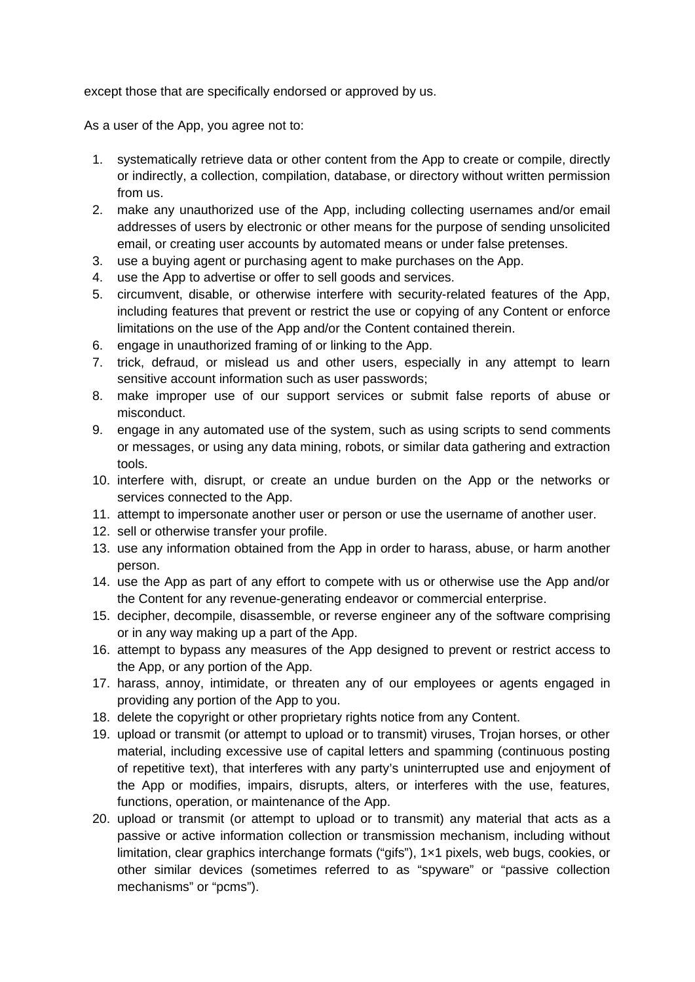except those that are specifically endorsed or approved by us.

As a user of the App, you agree not to:

- 1. systematically retrieve data or other content from the App to create or compile, directly or indirectly, a collection, compilation, database, or directory without written permission from us.
- 2. make any unauthorized use of the App, including collecting usernames and/or email addresses of users by electronic or other means for the purpose of sending unsolicited email, or creating user accounts by automated means or under false pretenses.
- 3. use a buying agent or purchasing agent to make purchases on the App.
- 4. use the App to advertise or offer to sell goods and services.
- 5. circumvent, disable, or otherwise interfere with security-related features of the App, including features that prevent or restrict the use or copying of any Content or enforce limitations on the use of the App and/or the Content contained therein.
- 6. engage in unauthorized framing of or linking to the App.
- 7. trick, defraud, or mislead us and other users, especially in any attempt to learn sensitive account information such as user passwords;
- 8. make improper use of our support services or submit false reports of abuse or misconduct.
- 9. engage in any automated use of the system, such as using scripts to send comments or messages, or using any data mining, robots, or similar data gathering and extraction tools.
- 10. interfere with, disrupt, or create an undue burden on the App or the networks or services connected to the App.
- 11. attempt to impersonate another user or person or use the username of another user.
- 12. sell or otherwise transfer your profile.
- 13. use any information obtained from the App in order to harass, abuse, or harm another person.
- 14. use the App as part of any effort to compete with us or otherwise use the App and/or the Content for any revenue-generating endeavor or commercial enterprise.
- 15. decipher, decompile, disassemble, or reverse engineer any of the software comprising or in any way making up a part of the App.
- 16. attempt to bypass any measures of the App designed to prevent or restrict access to the App, or any portion of the App.
- 17. harass, annoy, intimidate, or threaten any of our employees or agents engaged in providing any portion of the App to you.
- 18. delete the copyright or other proprietary rights notice from any Content.
- 19. upload or transmit (or attempt to upload or to transmit) viruses, Trojan horses, or other material, including excessive use of capital letters and spamming (continuous posting of repetitive text), that interferes with any party's uninterrupted use and enjoyment of the App or modifies, impairs, disrupts, alters, or interferes with the use, features, functions, operation, or maintenance of the App.
- 20. upload or transmit (or attempt to upload or to transmit) any material that acts as a passive or active information collection or transmission mechanism, including without limitation, clear graphics interchange formats ("gifs"), 1×1 pixels, web bugs, cookies, or other similar devices (sometimes referred to as "spyware" or "passive collection mechanisms" or "pcms").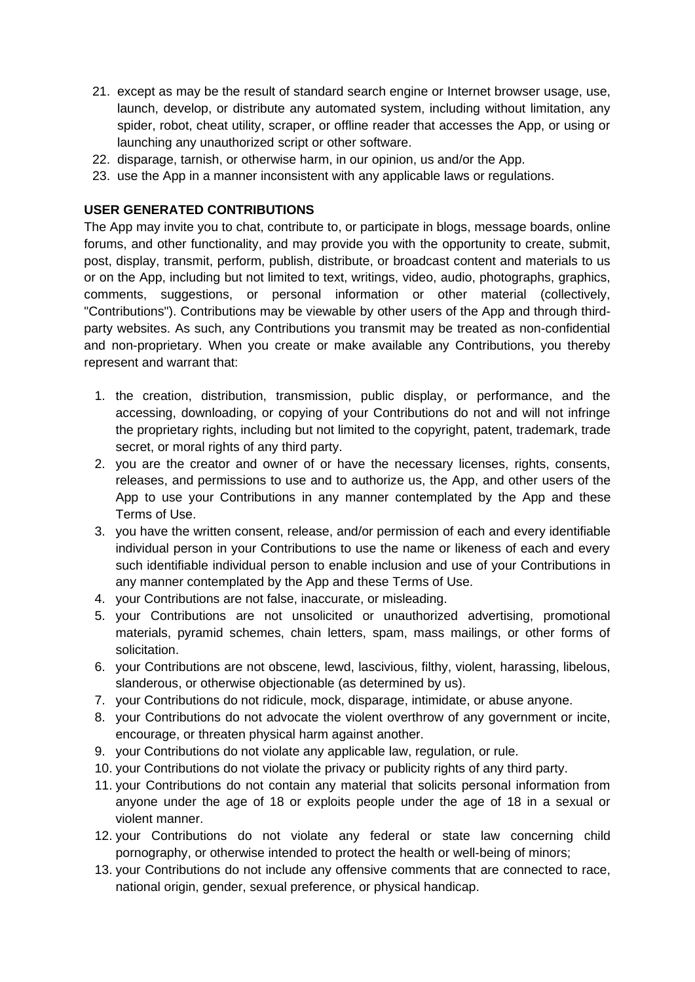- 21. except as may be the result of standard search engine or Internet browser usage, use, launch, develop, or distribute any automated system, including without limitation, any spider, robot, cheat utility, scraper, or offline reader that accesses the App, or using or launching any unauthorized script or other software.
- 22. disparage, tarnish, or otherwise harm, in our opinion, us and/or the App.
- 23. use the App in a manner inconsistent with any applicable laws or regulations.

#### **USER GENERATED CONTRIBUTIONS**

The App may invite you to chat, contribute to, or participate in blogs, message boards, online forums, and other functionality, and may provide you with the opportunity to create, submit, post, display, transmit, perform, publish, distribute, or broadcast content and materials to us or on the App, including but not limited to text, writings, video, audio, photographs, graphics, comments, suggestions, or personal information or other material (collectively, "Contributions"). Contributions may be viewable by other users of the App and through thirdparty websites. As such, any Contributions you transmit may be treated as non-confidential and non-proprietary. When you create or make available any Contributions, you thereby represent and warrant that:

- 1. the creation, distribution, transmission, public display, or performance, and the accessing, downloading, or copying of your Contributions do not and will not infringe the proprietary rights, including but not limited to the copyright, patent, trademark, trade secret, or moral rights of any third party.
- 2. you are the creator and owner of or have the necessary licenses, rights, consents, releases, and permissions to use and to authorize us, the App, and other users of the App to use your Contributions in any manner contemplated by the App and these Terms of Use.
- 3. you have the written consent, release, and/or permission of each and every identifiable individual person in your Contributions to use the name or likeness of each and every such identifiable individual person to enable inclusion and use of your Contributions in any manner contemplated by the App and these Terms of Use.
- 4. your Contributions are not false, inaccurate, or misleading.
- 5. your Contributions are not unsolicited or unauthorized advertising, promotional materials, pyramid schemes, chain letters, spam, mass mailings, or other forms of solicitation.
- 6. your Contributions are not obscene, lewd, lascivious, filthy, violent, harassing, libelous, slanderous, or otherwise objectionable (as determined by us).
- 7. your Contributions do not ridicule, mock, disparage, intimidate, or abuse anyone.
- 8. your Contributions do not advocate the violent overthrow of any government or incite, encourage, or threaten physical harm against another.
- 9. your Contributions do not violate any applicable law, regulation, or rule.
- 10. your Contributions do not violate the privacy or publicity rights of any third party.
- 11. your Contributions do not contain any material that solicits personal information from anyone under the age of 18 or exploits people under the age of 18 in a sexual or violent manner.
- 12. your Contributions do not violate any federal or state law concerning child pornography, or otherwise intended to protect the health or well-being of minors;
- 13. your Contributions do not include any offensive comments that are connected to race, national origin, gender, sexual preference, or physical handicap.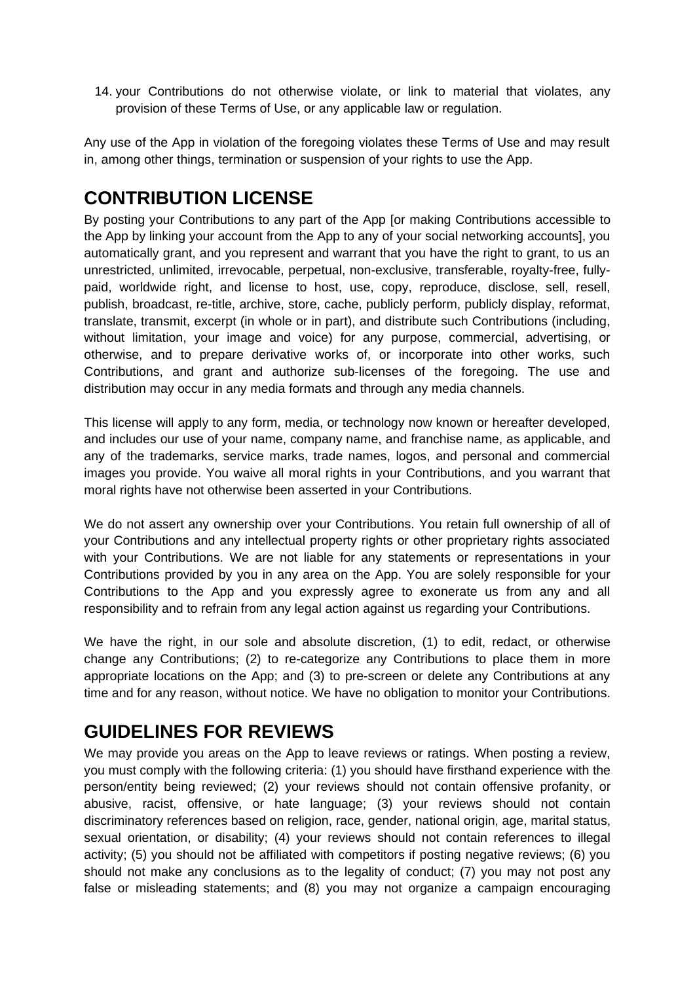14. your Contributions do not otherwise violate, or link to material that violates, any provision of these Terms of Use, or any applicable law or regulation.

Any use of the App in violation of the foregoing violates these Terms of Use and may result in, among other things, termination or suspension of your rights to use the App.

# **CONTRIBUTION LICENSE**

By posting your Contributions to any part of the App [or making Contributions accessible to the App by linking your account from the App to any of your social networking accounts], you automatically grant, and you represent and warrant that you have the right to grant, to us an unrestricted, unlimited, irrevocable, perpetual, non-exclusive, transferable, royalty-free, fullypaid, worldwide right, and license to host, use, copy, reproduce, disclose, sell, resell, publish, broadcast, re-title, archive, store, cache, publicly perform, publicly display, reformat, translate, transmit, excerpt (in whole or in part), and distribute such Contributions (including, without limitation, your image and voice) for any purpose, commercial, advertising, or otherwise, and to prepare derivative works of, or incorporate into other works, such Contributions, and grant and authorize sub-licenses of the foregoing. The use and distribution may occur in any media formats and through any media channels.

This license will apply to any form, media, or technology now known or hereafter developed, and includes our use of your name, company name, and franchise name, as applicable, and any of the trademarks, service marks, trade names, logos, and personal and commercial images you provide. You waive all moral rights in your Contributions, and you warrant that moral rights have not otherwise been asserted in your Contributions.

We do not assert any ownership over your Contributions. You retain full ownership of all of your Contributions and any intellectual property rights or other proprietary rights associated with your Contributions. We are not liable for any statements or representations in your Contributions provided by you in any area on the App. You are solely responsible for your Contributions to the App and you expressly agree to exonerate us from any and all responsibility and to refrain from any legal action against us regarding your Contributions.

We have the right, in our sole and absolute discretion, (1) to edit, redact, or otherwise change any Contributions; (2) to re-categorize any Contributions to place them in more appropriate locations on the App; and (3) to pre-screen or delete any Contributions at any time and for any reason, without notice. We have no obligation to monitor your Contributions.

### **GUIDELINES FOR REVIEWS**

We may provide you areas on the App to leave reviews or ratings. When posting a review, you must comply with the following criteria: (1) you should have firsthand experience with the person/entity being reviewed; (2) your reviews should not contain offensive profanity, or abusive, racist, offensive, or hate language; (3) your reviews should not contain discriminatory references based on religion, race, gender, national origin, age, marital status, sexual orientation, or disability; (4) your reviews should not contain references to illegal activity; (5) you should not be affiliated with competitors if posting negative reviews; (6) you should not make any conclusions as to the legality of conduct; (7) you may not post any false or misleading statements; and (8) you may not organize a campaign encouraging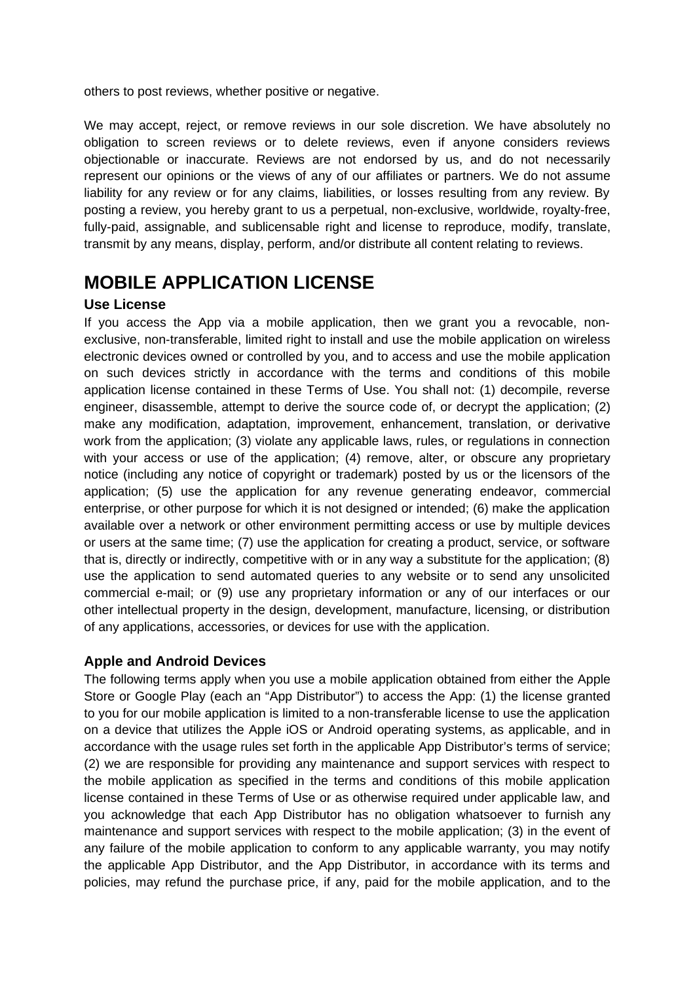others to post reviews, whether positive or negative.

We may accept, reject, or remove reviews in our sole discretion. We have absolutely no obligation to screen reviews or to delete reviews, even if anyone considers reviews objectionable or inaccurate. Reviews are not endorsed by us, and do not necessarily represent our opinions or the views of any of our affiliates or partners. We do not assume liability for any review or for any claims, liabilities, or losses resulting from any review. By posting a review, you hereby grant to us a perpetual, non-exclusive, worldwide, royalty-free, fully-paid, assignable, and sublicensable right and license to reproduce, modify, translate, transmit by any means, display, perform, and/or distribute all content relating to reviews.

### **MOBILE APPLICATION LICENSE**

#### **Use License**

If you access the App via a mobile application, then we grant you a revocable, nonexclusive, non-transferable, limited right to install and use the mobile application on wireless electronic devices owned or controlled by you, and to access and use the mobile application on such devices strictly in accordance with the terms and conditions of this mobile application license contained in these Terms of Use. You shall not: (1) decompile, reverse engineer, disassemble, attempt to derive the source code of, or decrypt the application; (2) make any modification, adaptation, improvement, enhancement, translation, or derivative work from the application; (3) violate any applicable laws, rules, or regulations in connection with your access or use of the application; (4) remove, alter, or obscure any proprietary notice (including any notice of copyright or trademark) posted by us or the licensors of the application; (5) use the application for any revenue generating endeavor, commercial enterprise, or other purpose for which it is not designed or intended; (6) make the application available over a network or other environment permitting access or use by multiple devices or users at the same time; (7) use the application for creating a product, service, or software that is, directly or indirectly, competitive with or in any way a substitute for the application; (8) use the application to send automated queries to any website or to send any unsolicited commercial e-mail; or (9) use any proprietary information or any of our interfaces or our other intellectual property in the design, development, manufacture, licensing, or distribution of any applications, accessories, or devices for use with the application.

#### **Apple and Android Devices**

The following terms apply when you use a mobile application obtained from either the Apple Store or Google Play (each an "App Distributor") to access the App: (1) the license granted to you for our mobile application is limited to a non-transferable license to use the application on a device that utilizes the Apple iOS or Android operating systems, as applicable, and in accordance with the usage rules set forth in the applicable App Distributor's terms of service; (2) we are responsible for providing any maintenance and support services with respect to the mobile application as specified in the terms and conditions of this mobile application license contained in these Terms of Use or as otherwise required under applicable law, and you acknowledge that each App Distributor has no obligation whatsoever to furnish any maintenance and support services with respect to the mobile application; (3) in the event of any failure of the mobile application to conform to any applicable warranty, you may notify the applicable App Distributor, and the App Distributor, in accordance with its terms and policies, may refund the purchase price, if any, paid for the mobile application, and to the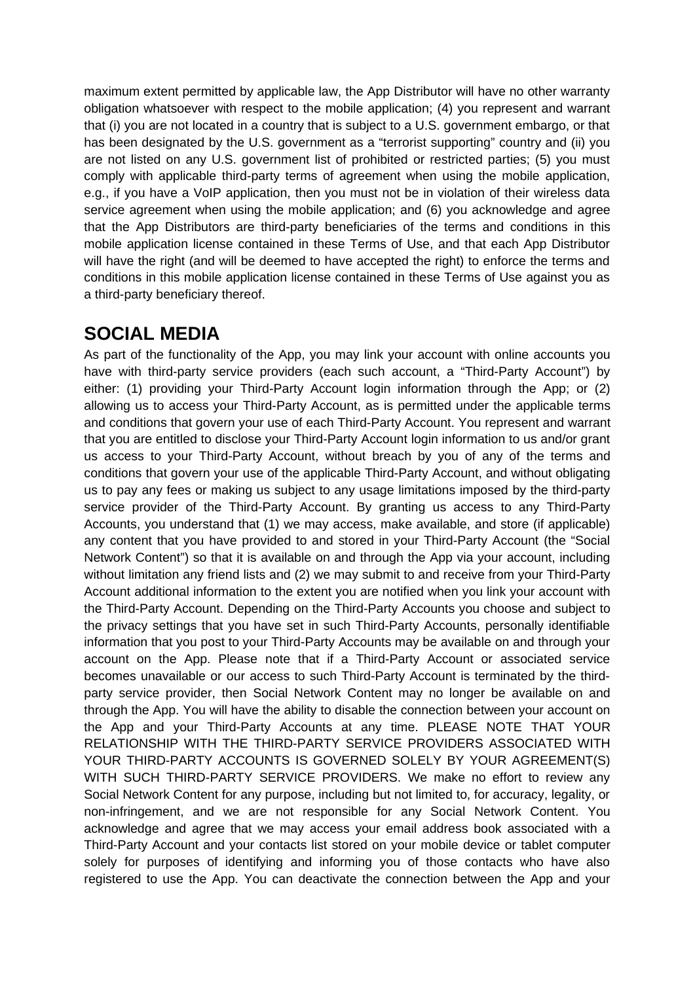maximum extent permitted by applicable law, the App Distributor will have no other warranty obligation whatsoever with respect to the mobile application; (4) you represent and warrant that (i) you are not located in a country that is subject to a U.S. government embargo, or that has been designated by the U.S. government as a "terrorist supporting" country and (ii) you are not listed on any U.S. government list of prohibited or restricted parties; (5) you must comply with applicable third-party terms of agreement when using the mobile application, e.g., if you have a VoIP application, then you must not be in violation of their wireless data service agreement when using the mobile application; and (6) you acknowledge and agree that the App Distributors are third-party beneficiaries of the terms and conditions in this mobile application license contained in these Terms of Use, and that each App Distributor will have the right (and will be deemed to have accepted the right) to enforce the terms and conditions in this mobile application license contained in these Terms of Use against you as a third-party beneficiary thereof.

#### **SOCIAL MEDIA**

As part of the functionality of the App, you may link your account with online accounts you have with third-party service providers (each such account, a "Third-Party Account") by either: (1) providing your Third-Party Account login information through the App; or (2) allowing us to access your Third-Party Account, as is permitted under the applicable terms and conditions that govern your use of each Third-Party Account. You represent and warrant that you are entitled to disclose your Third-Party Account login information to us and/or grant us access to your Third-Party Account, without breach by you of any of the terms and conditions that govern your use of the applicable Third-Party Account, and without obligating us to pay any fees or making us subject to any usage limitations imposed by the third-party service provider of the Third-Party Account. By granting us access to any Third-Party Accounts, you understand that (1) we may access, make available, and store (if applicable) any content that you have provided to and stored in your Third-Party Account (the "Social Network Content") so that it is available on and through the App via your account, including without limitation any friend lists and (2) we may submit to and receive from your Third-Party Account additional information to the extent you are notified when you link your account with the Third-Party Account. Depending on the Third-Party Accounts you choose and subject to the privacy settings that you have set in such Third-Party Accounts, personally identifiable information that you post to your Third-Party Accounts may be available on and through your account on the App. Please note that if a Third-Party Account or associated service becomes unavailable or our access to such Third-Party Account is terminated by the thirdparty service provider, then Social Network Content may no longer be available on and through the App. You will have the ability to disable the connection between your account on the App and your Third-Party Accounts at any time. PLEASE NOTE THAT YOUR RELATIONSHIP WITH THE THIRD-PARTY SERVICE PROVIDERS ASSOCIATED WITH YOUR THIRD-PARTY ACCOUNTS IS GOVERNED SOLELY BY YOUR AGREEMENT(S) WITH SUCH THIRD-PARTY SERVICE PROVIDERS. We make no effort to review any Social Network Content for any purpose, including but not limited to, for accuracy, legality, or non-infringement, and we are not responsible for any Social Network Content. You acknowledge and agree that we may access your email address book associated with a Third-Party Account and your contacts list stored on your mobile device or tablet computer solely for purposes of identifying and informing you of those contacts who have also registered to use the App. You can deactivate the connection between the App and your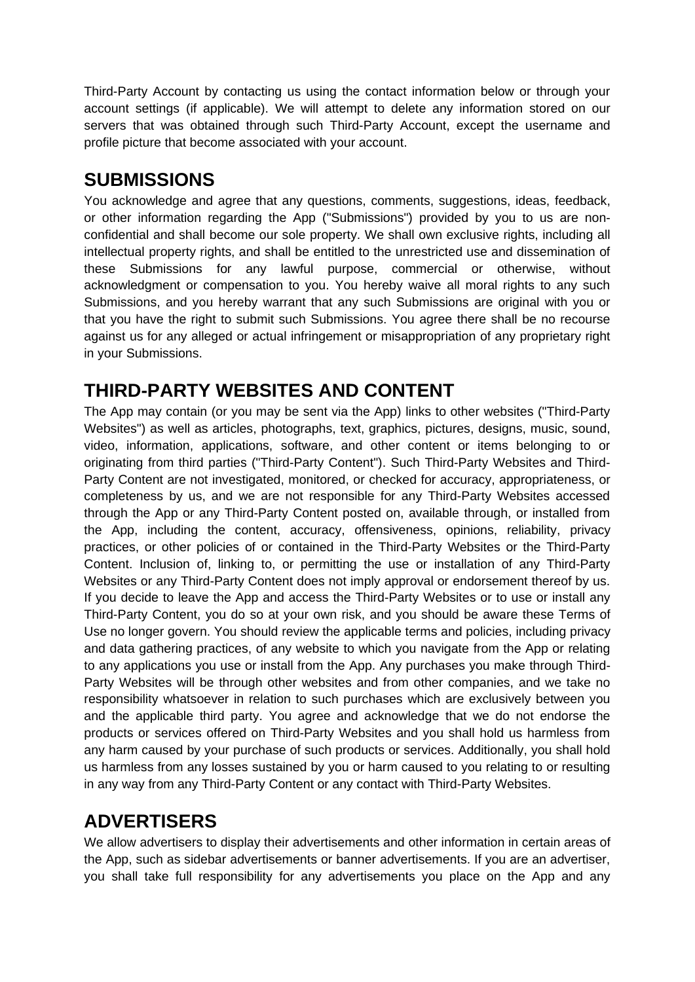Third-Party Account by contacting us using the contact information below or through your account settings (if applicable). We will attempt to delete any information stored on our servers that was obtained through such Third-Party Account, except the username and profile picture that become associated with your account.

### **SUBMISSIONS**

You acknowledge and agree that any questions, comments, suggestions, ideas, feedback, or other information regarding the App ("Submissions") provided by you to us are nonconfidential and shall become our sole property. We shall own exclusive rights, including all intellectual property rights, and shall be entitled to the unrestricted use and dissemination of these Submissions for any lawful purpose, commercial or otherwise, without acknowledgment or compensation to you. You hereby waive all moral rights to any such Submissions, and you hereby warrant that any such Submissions are original with you or that you have the right to submit such Submissions. You agree there shall be no recourse against us for any alleged or actual infringement or misappropriation of any proprietary right in your Submissions.

# **THIRD-PARTY WEBSITES AND CONTENT**

The App may contain (or you may be sent via the App) links to other websites ("Third-Party Websites") as well as articles, photographs, text, graphics, pictures, designs, music, sound, video, information, applications, software, and other content or items belonging to or originating from third parties ("Third-Party Content"). Such Third-Party Websites and Third-Party Content are not investigated, monitored, or checked for accuracy, appropriateness, or completeness by us, and we are not responsible for any Third-Party Websites accessed through the App or any Third-Party Content posted on, available through, or installed from the App, including the content, accuracy, offensiveness, opinions, reliability, privacy practices, or other policies of or contained in the Third-Party Websites or the Third-Party Content. Inclusion of, linking to, or permitting the use or installation of any Third-Party Websites or any Third-Party Content does not imply approval or endorsement thereof by us. If you decide to leave the App and access the Third-Party Websites or to use or install any Third-Party Content, you do so at your own risk, and you should be aware these Terms of Use no longer govern. You should review the applicable terms and policies, including privacy and data gathering practices, of any website to which you navigate from the App or relating to any applications you use or install from the App. Any purchases you make through Third-Party Websites will be through other websites and from other companies, and we take no responsibility whatsoever in relation to such purchases which are exclusively between you and the applicable third party. You agree and acknowledge that we do not endorse the products or services offered on Third-Party Websites and you shall hold us harmless from any harm caused by your purchase of such products or services. Additionally, you shall hold us harmless from any losses sustained by you or harm caused to you relating to or resulting in any way from any Third-Party Content or any contact with Third-Party Websites.

# **ADVERTISERS**

We allow advertisers to display their advertisements and other information in certain areas of the App, such as sidebar advertisements or banner advertisements. If you are an advertiser, you shall take full responsibility for any advertisements you place on the App and any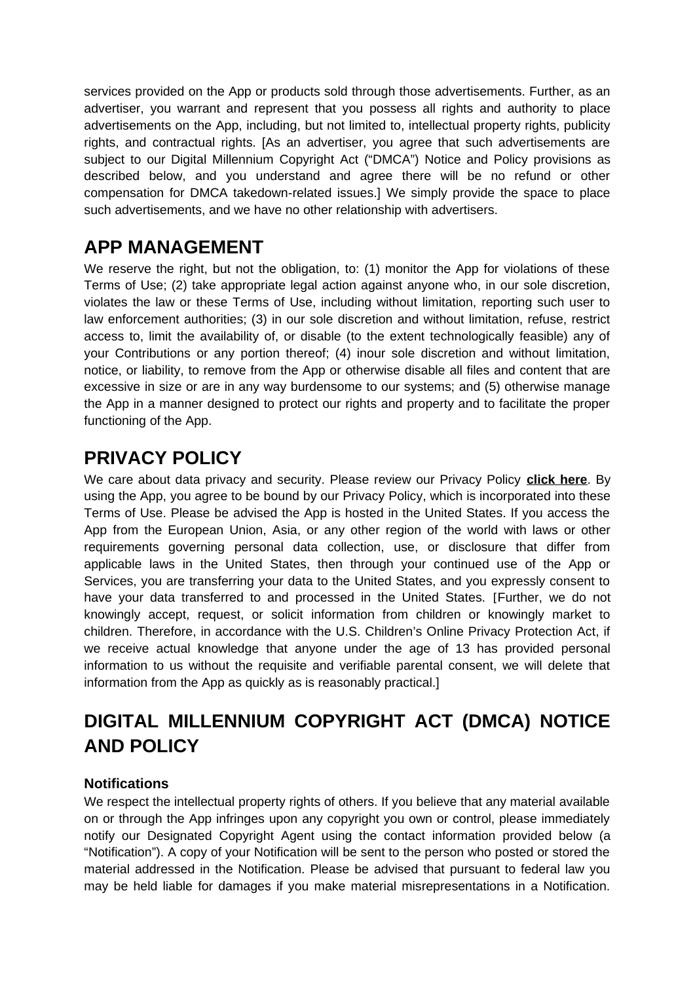services provided on the App or products sold through those advertisements. Further, as an advertiser, you warrant and represent that you possess all rights and authority to place advertisements on the App, including, but not limited to, intellectual property rights, publicity rights, and contractual rights. [As an advertiser, you agree that such advertisements are subject to our Digital Millennium Copyright Act ("DMCA") Notice and Policy provisions as described below, and you understand and agree there will be no refund or other compensation for DMCA takedown-related issues.] We simply provide the space to place such advertisements, and we have no other relationship with advertisers.

#### **APP MANAGEMENT**

We reserve the right, but not the obligation, to: (1) monitor the App for violations of these Terms of Use; (2) take appropriate legal action against anyone who, in our sole discretion, violates the law or these Terms of Use, including without limitation, reporting such user to law enforcement authorities; (3) in our sole discretion and without limitation, refuse, restrict access to, limit the availability of, or disable (to the extent technologically feasible) any of your Contributions or any portion thereof; (4) inour sole discretion and without limitation, notice, or liability, to remove from the App or otherwise disable all files and content that are excessive in size or are in any way burdensome to our systems; and (5) otherwise manage the App in a manner designed to protect our rights and property and to facilitate the proper functioning of the App.

# **PRIVACY POLICY**

We care about data privacy and security. Please review our Privacy Policy **[click here](https://cirlorm.com/privacy-policity)**. By using the App, you agree to be bound by our Privacy Policy, which is incorporated into these Terms of Use. Please be advised the App is hosted in the United States. If you access the App from the European Union, Asia, or any other region of the world with laws or other requirements governing personal data collection, use, or disclosure that differ from applicable laws in the United States, then through your continued use of the App or Services, you are transferring your data to the United States, and you expressly consent to have your data transferred to and processed in the United States. [Further, we do not knowingly accept, request, or solicit information from children or knowingly market to children. Therefore, in accordance with the U.S. Children's Online Privacy Protection Act, if we receive actual knowledge that anyone under the age of 13 has provided personal information to us without the requisite and verifiable parental consent, we will delete that information from the App as quickly as is reasonably practical.]

# **DIGITAL MILLENNIUM COPYRIGHT ACT (DMCA) NOTICE AND POLICY**

#### **Notifications**

We respect the intellectual property rights of others. If you believe that any material available on or through the App infringes upon any copyright you own or control, please immediately notify our Designated Copyright Agent using the contact information provided below (a "Notification"). A copy of your Notification will be sent to the person who posted or stored the material addressed in the Notification. Please be advised that pursuant to federal law you may be held liable for damages if you make material misrepresentations in a Notification.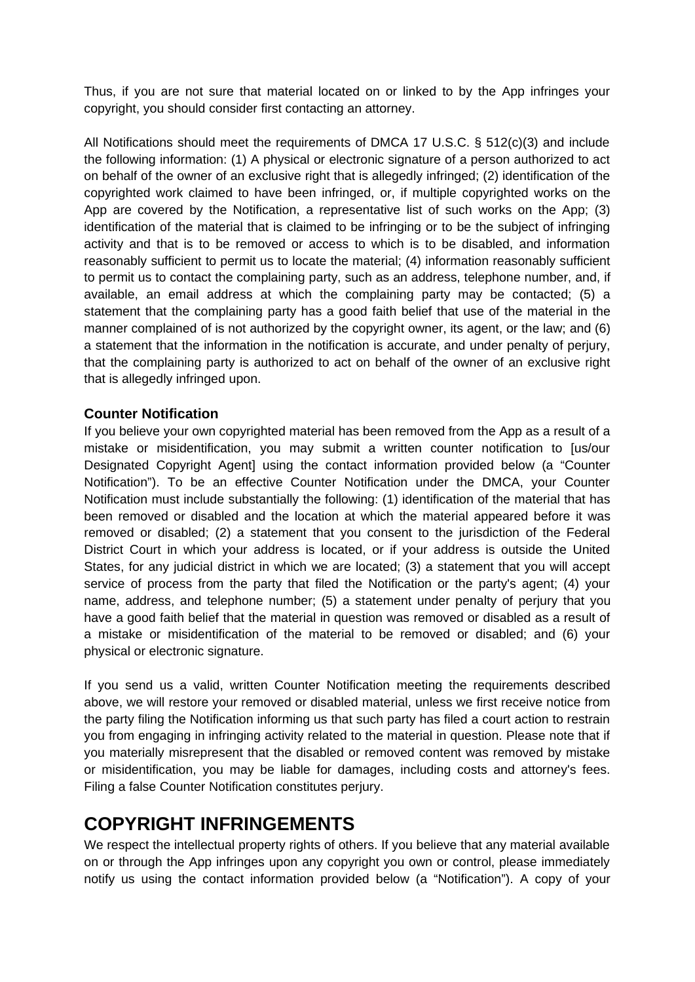Thus, if you are not sure that material located on or linked to by the App infringes your copyright, you should consider first contacting an attorney.

All Notifications should meet the requirements of DMCA 17 U.S.C. § 512(c)(3) and include the following information: (1) A physical or electronic signature of a person authorized to act on behalf of the owner of an exclusive right that is allegedly infringed; (2) identification of the copyrighted work claimed to have been infringed, or, if multiple copyrighted works on the App are covered by the Notification, a representative list of such works on the App; (3) identification of the material that is claimed to be infringing or to be the subject of infringing activity and that is to be removed or access to which is to be disabled, and information reasonably sufficient to permit us to locate the material; (4) information reasonably sufficient to permit us to contact the complaining party, such as an address, telephone number, and, if available, an email address at which the complaining party may be contacted; (5) a statement that the complaining party has a good faith belief that use of the material in the manner complained of is not authorized by the copyright owner, its agent, or the law; and (6) a statement that the information in the notification is accurate, and under penalty of perjury, that the complaining party is authorized to act on behalf of the owner of an exclusive right that is allegedly infringed upon.

#### **Counter Notification**

If you believe your own copyrighted material has been removed from the App as a result of a mistake or misidentification, you may submit a written counter notification to [us/our Designated Copyright Agent] using the contact information provided below (a "Counter Notification"). To be an effective Counter Notification under the DMCA, your Counter Notification must include substantially the following: (1) identification of the material that has been removed or disabled and the location at which the material appeared before it was removed or disabled; (2) a statement that you consent to the jurisdiction of the Federal District Court in which your address is located, or if your address is outside the United States, for any judicial district in which we are located; (3) a statement that you will accept service of process from the party that filed the Notification or the party's agent; (4) your name, address, and telephone number; (5) a statement under penalty of perjury that you have a good faith belief that the material in question was removed or disabled as a result of a mistake or misidentification of the material to be removed or disabled; and (6) your physical or electronic signature.

If you send us a valid, written Counter Notification meeting the requirements described above, we will restore your removed or disabled material, unless we first receive notice from the party filing the Notification informing us that such party has filed a court action to restrain you from engaging in infringing activity related to the material in question. Please note that if you materially misrepresent that the disabled or removed content was removed by mistake or misidentification, you may be liable for damages, including costs and attorney's fees. Filing a false Counter Notification constitutes perjury.

# **COPYRIGHT INFRINGEMENTS**

We respect the intellectual property rights of others. If you believe that any material available on or through the App infringes upon any copyright you own or control, please immediately notify us using the contact information provided below (a "Notification"). A copy of your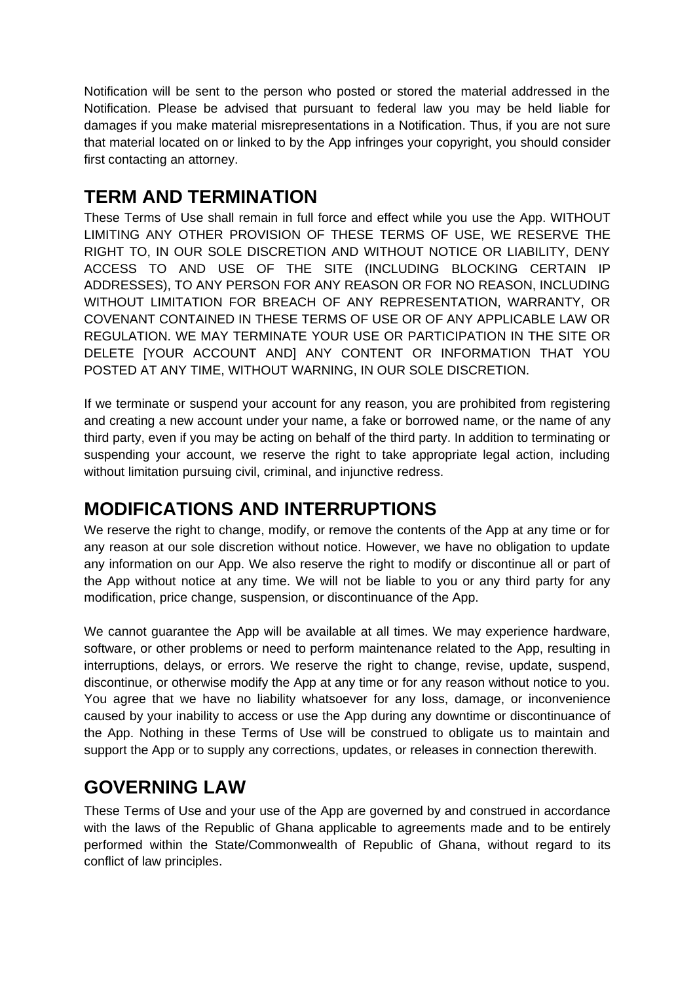Notification will be sent to the person who posted or stored the material addressed in the Notification. Please be advised that pursuant to federal law you may be held liable for damages if you make material misrepresentations in a Notification. Thus, if you are not sure that material located on or linked to by the App infringes your copyright, you should consider first contacting an attorney.

# **TERM AND TERMINATION**

These Terms of Use shall remain in full force and effect while you use the App. WITHOUT LIMITING ANY OTHER PROVISION OF THESE TERMS OF USE, WE RESERVE THE RIGHT TO, IN OUR SOLE DISCRETION AND WITHOUT NOTICE OR LIABILITY, DENY ACCESS TO AND USE OF THE SITE (INCLUDING BLOCKING CERTAIN IP ADDRESSES), TO ANY PERSON FOR ANY REASON OR FOR NO REASON, INCLUDING WITHOUT LIMITATION FOR BREACH OF ANY REPRESENTATION, WARRANTY, OR COVENANT CONTAINED IN THESE TERMS OF USE OR OF ANY APPLICABLE LAW OR REGULATION. WE MAY TERMINATE YOUR USE OR PARTICIPATION IN THE SITE OR DELETE [YOUR ACCOUNT AND] ANY CONTENT OR INFORMATION THAT YOU POSTED AT ANY TIME, WITHOUT WARNING, IN OUR SOLE DISCRETION.

If we terminate or suspend your account for any reason, you are prohibited from registering and creating a new account under your name, a fake or borrowed name, or the name of any third party, even if you may be acting on behalf of the third party. In addition to terminating or suspending your account, we reserve the right to take appropriate legal action, including without limitation pursuing civil, criminal, and injunctive redress.

### **MODIFICATIONS AND INTERRUPTIONS**

We reserve the right to change, modify, or remove the contents of the App at any time or for any reason at our sole discretion without notice. However, we have no obligation to update any information on our App. We also reserve the right to modify or discontinue all or part of the App without notice at any time. We will not be liable to you or any third party for any modification, price change, suspension, or discontinuance of the App.

We cannot guarantee the App will be available at all times. We may experience hardware, software, or other problems or need to perform maintenance related to the App, resulting in interruptions, delays, or errors. We reserve the right to change, revise, update, suspend, discontinue, or otherwise modify the App at any time or for any reason without notice to you. You agree that we have no liability whatsoever for any loss, damage, or inconvenience caused by your inability to access or use the App during any downtime or discontinuance of the App. Nothing in these Terms of Use will be construed to obligate us to maintain and support the App or to supply any corrections, updates, or releases in connection therewith.

#### **GOVERNING LAW**

These Terms of Use and your use of the App are governed by and construed in accordance with the laws of the Republic of Ghana applicable to agreements made and to be entirely performed within the State/Commonwealth of Republic of Ghana, without regard to its conflict of law principles.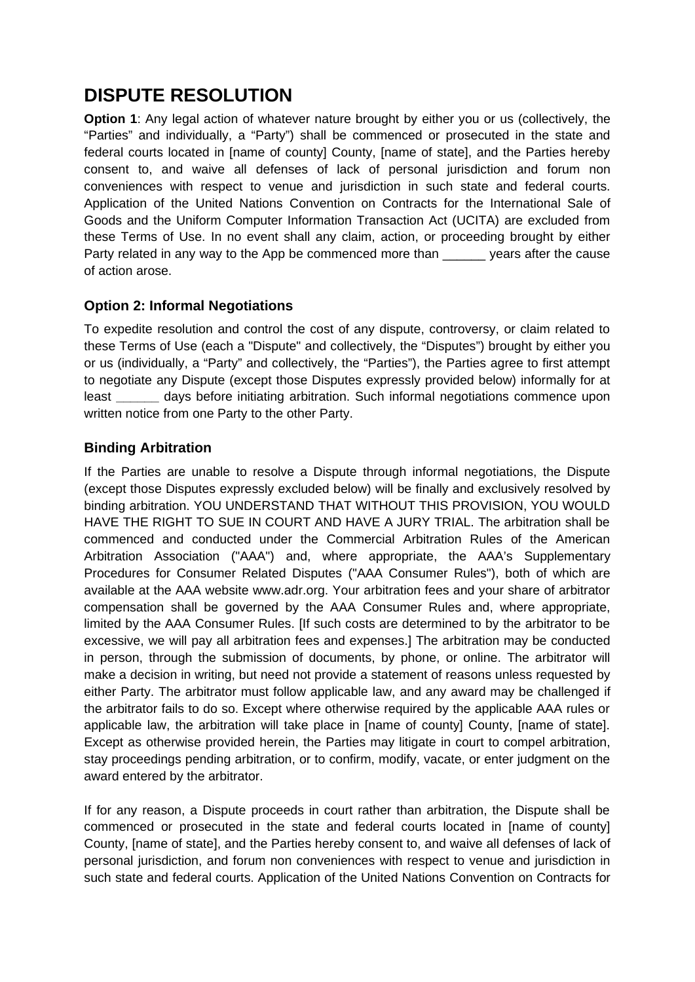# **DISPUTE RESOLUTION**

**Option 1**: Any legal action of whatever nature brought by either you or us (collectively, the "Parties" and individually, a "Party") shall be commenced or prosecuted in the state and federal courts located in [name of county] County, [name of state], and the Parties hereby consent to, and waive all defenses of lack of personal jurisdiction and forum non conveniences with respect to venue and jurisdiction in such state and federal courts. Application of the United Nations Convention on Contracts for the International Sale of Goods and the Uniform Computer Information Transaction Act (UCITA) are excluded from these Terms of Use. In no event shall any claim, action, or proceeding brought by either Party related in any way to the App be commenced more than years after the cause of action arose.

#### **Option 2: Informal Negotiations**

To expedite resolution and control the cost of any dispute, controversy, or claim related to these Terms of Use (each a "Dispute" and collectively, the "Disputes") brought by either you or us (individually, a "Party" and collectively, the "Parties"), the Parties agree to first attempt to negotiate any Dispute (except those Disputes expressly provided below) informally for at least **\_\_\_\_\_\_** days before initiating arbitration. Such informal negotiations commence upon written notice from one Party to the other Party.

#### **Binding Arbitration**

If the Parties are unable to resolve a Dispute through informal negotiations, the Dispute (except those Disputes expressly excluded below) will be finally and exclusively resolved by binding arbitration. YOU UNDERSTAND THAT WITHOUT THIS PROVISION, YOU WOULD HAVE THE RIGHT TO SUE IN COURT AND HAVE A JURY TRIAL. The arbitration shall be commenced and conducted under the Commercial Arbitration Rules of the American Arbitration Association ("AAA") and, where appropriate, the AAA's Supplementary Procedures for Consumer Related Disputes ("AAA Consumer Rules"), both of which are available at the AAA website www.adr.org. Your arbitration fees and your share of arbitrator compensation shall be governed by the AAA Consumer Rules and, where appropriate, limited by the AAA Consumer Rules. [If such costs are determined to by the arbitrator to be excessive, we will pay all arbitration fees and expenses.] The arbitration may be conducted in person, through the submission of documents, by phone, or online. The arbitrator will make a decision in writing, but need not provide a statement of reasons unless requested by either Party. The arbitrator must follow applicable law, and any award may be challenged if the arbitrator fails to do so. Except where otherwise required by the applicable AAA rules or applicable law, the arbitration will take place in [name of county] County, [name of state]. Except as otherwise provided herein, the Parties may litigate in court to compel arbitration, stay proceedings pending arbitration, or to confirm, modify, vacate, or enter judgment on the award entered by the arbitrator.

If for any reason, a Dispute proceeds in court rather than arbitration, the Dispute shall be commenced or prosecuted in the state and federal courts located in [name of county] County, [name of state], and the Parties hereby consent to, and waive all defenses of lack of personal jurisdiction, and forum non conveniences with respect to venue and jurisdiction in such state and federal courts. Application of the United Nations Convention on Contracts for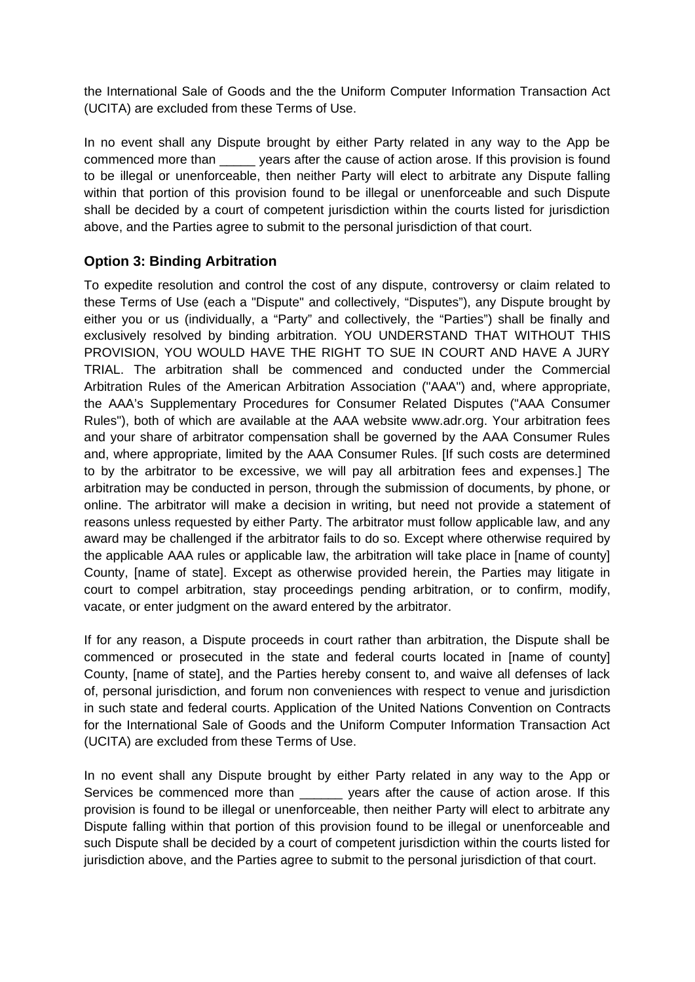the International Sale of Goods and the the Uniform Computer Information Transaction Act (UCITA) are excluded from these Terms of Use.

In no event shall any Dispute brought by either Party related in any way to the App be commenced more than years after the cause of action arose. If this provision is found to be illegal or unenforceable, then neither Party will elect to arbitrate any Dispute falling within that portion of this provision found to be illegal or unenforceable and such Dispute shall be decided by a court of competent jurisdiction within the courts listed for jurisdiction above, and the Parties agree to submit to the personal jurisdiction of that court.

#### **Option 3: Binding Arbitration**

To expedite resolution and control the cost of any dispute, controversy or claim related to these Terms of Use (each a "Dispute" and collectively, "Disputes"), any Dispute brought by either you or us (individually, a "Party" and collectively, the "Parties") shall be finally and exclusively resolved by binding arbitration. YOU UNDERSTAND THAT WITHOUT THIS PROVISION, YOU WOULD HAVE THE RIGHT TO SUE IN COURT AND HAVE A JURY TRIAL. The arbitration shall be commenced and conducted under the Commercial Arbitration Rules of the American Arbitration Association ("AAA") and, where appropriate, the AAA's Supplementary Procedures for Consumer Related Disputes ("AAA Consumer Rules"), both of which are available at the AAA website www.adr.org. Your arbitration fees and your share of arbitrator compensation shall be governed by the AAA Consumer Rules and, where appropriate, limited by the AAA Consumer Rules. [If such costs are determined to by the arbitrator to be excessive, we will pay all arbitration fees and expenses.] The arbitration may be conducted in person, through the submission of documents, by phone, or online. The arbitrator will make a decision in writing, but need not provide a statement of reasons unless requested by either Party. The arbitrator must follow applicable law, and any award may be challenged if the arbitrator fails to do so. Except where otherwise required by the applicable AAA rules or applicable law, the arbitration will take place in [name of county] County, [name of state]. Except as otherwise provided herein, the Parties may litigate in court to compel arbitration, stay proceedings pending arbitration, or to confirm, modify, vacate, or enter judgment on the award entered by the arbitrator.

If for any reason, a Dispute proceeds in court rather than arbitration, the Dispute shall be commenced or prosecuted in the state and federal courts located in [name of county] County, [name of state], and the Parties hereby consent to, and waive all defenses of lack of, personal jurisdiction, and forum non conveniences with respect to venue and jurisdiction in such state and federal courts. Application of the United Nations Convention on Contracts for the International Sale of Goods and the Uniform Computer Information Transaction Act (UCITA) are excluded from these Terms of Use.

In no event shall any Dispute brought by either Party related in any way to the App or Services be commenced more than \_\_\_\_\_\_\_ years after the cause of action arose. If this provision is found to be illegal or unenforceable, then neither Party will elect to arbitrate any Dispute falling within that portion of this provision found to be illegal or unenforceable and such Dispute shall be decided by a court of competent jurisdiction within the courts listed for jurisdiction above, and the Parties agree to submit to the personal jurisdiction of that court.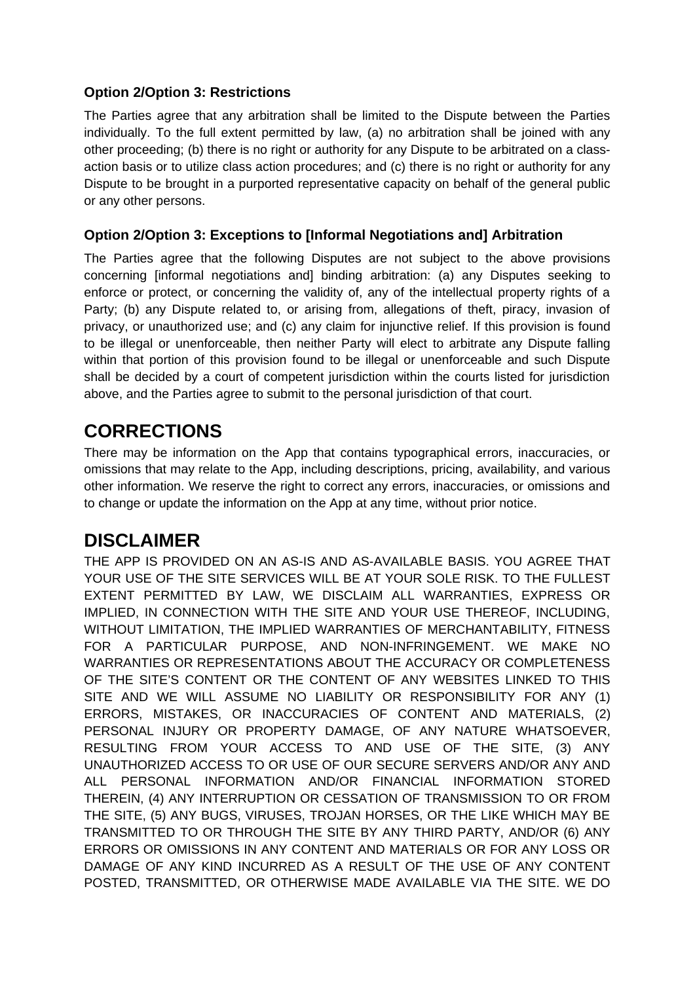#### **Option 2/Option 3: Restrictions**

The Parties agree that any arbitration shall be limited to the Dispute between the Parties individually. To the full extent permitted by law, (a) no arbitration shall be joined with any other proceeding; (b) there is no right or authority for any Dispute to be arbitrated on a classaction basis or to utilize class action procedures; and (c) there is no right or authority for any Dispute to be brought in a purported representative capacity on behalf of the general public or any other persons.

#### **Option 2/Option 3: Exceptions to [Informal Negotiations and] Arbitration**

The Parties agree that the following Disputes are not subject to the above provisions concerning [informal negotiations and] binding arbitration: (a) any Disputes seeking to enforce or protect, or concerning the validity of, any of the intellectual property rights of a Party; (b) any Dispute related to, or arising from, allegations of theft, piracy, invasion of privacy, or unauthorized use; and (c) any claim for injunctive relief. If this provision is found to be illegal or unenforceable, then neither Party will elect to arbitrate any Dispute falling within that portion of this provision found to be illegal or unenforceable and such Dispute shall be decided by a court of competent jurisdiction within the courts listed for jurisdiction above, and the Parties agree to submit to the personal jurisdiction of that court.

#### **CORRECTIONS**

There may be information on the App that contains typographical errors, inaccuracies, or omissions that may relate to the App, including descriptions, pricing, availability, and various other information. We reserve the right to correct any errors, inaccuracies, or omissions and to change or update the information on the App at any time, without prior notice.

### **DISCLAIMER**

THE APP IS PROVIDED ON AN AS-IS AND AS-AVAILABLE BASIS. YOU AGREE THAT YOUR USE OF THE SITE SERVICES WILL BE AT YOUR SOLE RISK. TO THE FULLEST EXTENT PERMITTED BY LAW, WE DISCLAIM ALL WARRANTIES, EXPRESS OR IMPLIED, IN CONNECTION WITH THE SITE AND YOUR USE THEREOF, INCLUDING, WITHOUT LIMITATION, THE IMPLIED WARRANTIES OF MERCHANTABILITY, FITNESS FOR A PARTICULAR PURPOSE, AND NON-INFRINGEMENT. WE MAKE NO WARRANTIES OR REPRESENTATIONS ABOUT THE ACCURACY OR COMPLETENESS OF THE SITE'S CONTENT OR THE CONTENT OF ANY WEBSITES LINKED TO THIS SITE AND WE WILL ASSUME NO LIABILITY OR RESPONSIBILITY FOR ANY (1) ERRORS, MISTAKES, OR INACCURACIES OF CONTENT AND MATERIALS, (2) PERSONAL INJURY OR PROPERTY DAMAGE, OF ANY NATURE WHATSOEVER, RESULTING FROM YOUR ACCESS TO AND USE OF THE SITE, (3) ANY UNAUTHORIZED ACCESS TO OR USE OF OUR SECURE SERVERS AND/OR ANY AND ALL PERSONAL INFORMATION AND/OR FINANCIAL INFORMATION STORED THEREIN, (4) ANY INTERRUPTION OR CESSATION OF TRANSMISSION TO OR FROM THE SITE, (5) ANY BUGS, VIRUSES, TROJAN HORSES, OR THE LIKE WHICH MAY BE TRANSMITTED TO OR THROUGH THE SITE BY ANY THIRD PARTY, AND/OR (6) ANY ERRORS OR OMISSIONS IN ANY CONTENT AND MATERIALS OR FOR ANY LOSS OR DAMAGE OF ANY KIND INCURRED AS A RESULT OF THE USE OF ANY CONTENT POSTED, TRANSMITTED, OR OTHERWISE MADE AVAILABLE VIA THE SITE. WE DO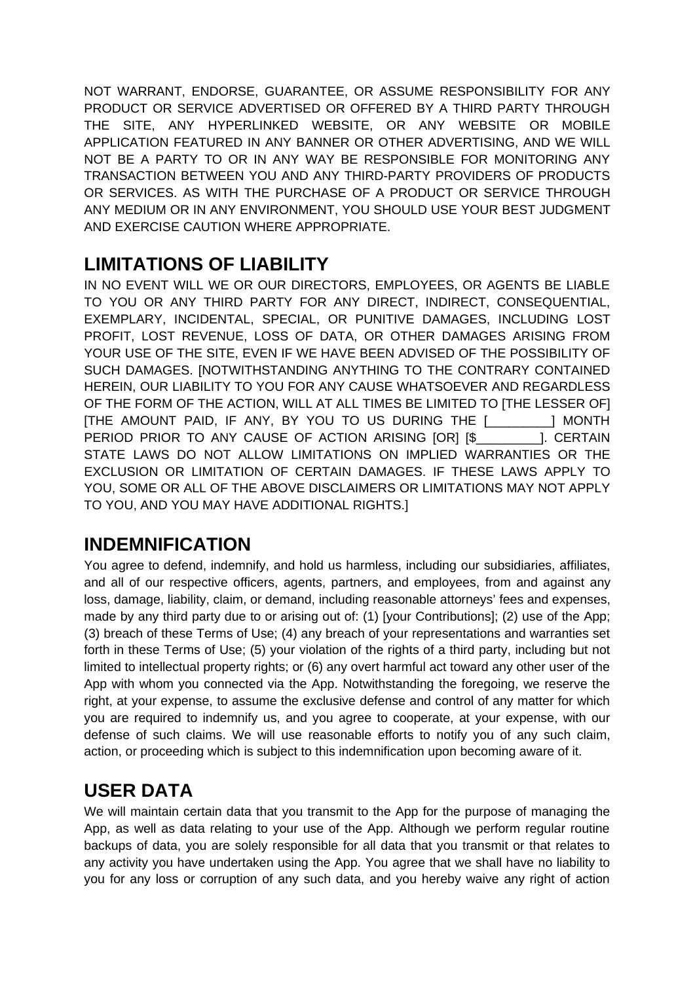NOT WARRANT, ENDORSE, GUARANTEE, OR ASSUME RESPONSIBILITY FOR ANY PRODUCT OR SERVICE ADVERTISED OR OFFERED BY A THIRD PARTY THROUGH THE SITE, ANY HYPERLINKED WEBSITE, OR ANY WEBSITE OR MOBILE APPLICATION FEATURED IN ANY BANNER OR OTHER ADVERTISING, AND WE WILL NOT BE A PARTY TO OR IN ANY WAY BE RESPONSIBLE FOR MONITORING ANY TRANSACTION BETWEEN YOU AND ANY THIRD-PARTY PROVIDERS OF PRODUCTS OR SERVICES. AS WITH THE PURCHASE OF A PRODUCT OR SERVICE THROUGH ANY MEDIUM OR IN ANY ENVIRONMENT, YOU SHOULD USE YOUR BEST JUDGMENT AND EXERCISE CAUTION WHERE APPROPRIATE.

### **LIMITATIONS OF LIABILITY**

IN NO EVENT WILL WE OR OUR DIRECTORS, EMPLOYEES, OR AGENTS BE LIABLE TO YOU OR ANY THIRD PARTY FOR ANY DIRECT, INDIRECT, CONSEQUENTIAL, EXEMPLARY, INCIDENTAL, SPECIAL, OR PUNITIVE DAMAGES, INCLUDING LOST PROFIT, LOST REVENUE, LOSS OF DATA, OR OTHER DAMAGES ARISING FROM YOUR USE OF THE SITE, EVEN IF WE HAVE BEEN ADVISED OF THE POSSIBILITY OF SUCH DAMAGES. [NOTWITHSTANDING ANYTHING TO THE CONTRARY CONTAINED HEREIN, OUR LIABILITY TO YOU FOR ANY CAUSE WHATSOEVER AND REGARDLESS OF THE FORM OF THE ACTION, WILL AT ALL TIMES BE LIMITED TO [THE LESSER OF] [THE AMOUNT PAID, IF ANY, BY YOU TO US DURING THE [\_\_\_\_\_\_\_\_\_] MONTH PERIOD PRIOR TO ANY CAUSE OF ACTION ARISING [OR] [\$\_\_\_\_\_\_\_\_\_]. CERTAIN STATE LAWS DO NOT ALLOW LIMITATIONS ON IMPLIED WARRANTIES OR THE EXCLUSION OR LIMITATION OF CERTAIN DAMAGES. IF THESE LAWS APPLY TO YOU, SOME OR ALL OF THE ABOVE DISCLAIMERS OR LIMITATIONS MAY NOT APPLY TO YOU, AND YOU MAY HAVE ADDITIONAL RIGHTS.]

### **INDEMNIFICATION**

You agree to defend, indemnify, and hold us harmless, including our subsidiaries, affiliates, and all of our respective officers, agents, partners, and employees, from and against any loss, damage, liability, claim, or demand, including reasonable attorneys' fees and expenses, made by any third party due to or arising out of: (1) [your Contributions]; (2) use of the App; (3) breach of these Terms of Use; (4) any breach of your representations and warranties set forth in these Terms of Use; (5) your violation of the rights of a third party, including but not limited to intellectual property rights; or (6) any overt harmful act toward any other user of the App with whom you connected via the App. Notwithstanding the foregoing, we reserve the right, at your expense, to assume the exclusive defense and control of any matter for which you are required to indemnify us, and you agree to cooperate, at your expense, with our defense of such claims. We will use reasonable efforts to notify you of any such claim, action, or proceeding which is subject to this indemnification upon becoming aware of it.

# **USER DATA**

We will maintain certain data that you transmit to the App for the purpose of managing the App, as well as data relating to your use of the App. Although we perform regular routine backups of data, you are solely responsible for all data that you transmit or that relates to any activity you have undertaken using the App. You agree that we shall have no liability to you for any loss or corruption of any such data, and you hereby waive any right of action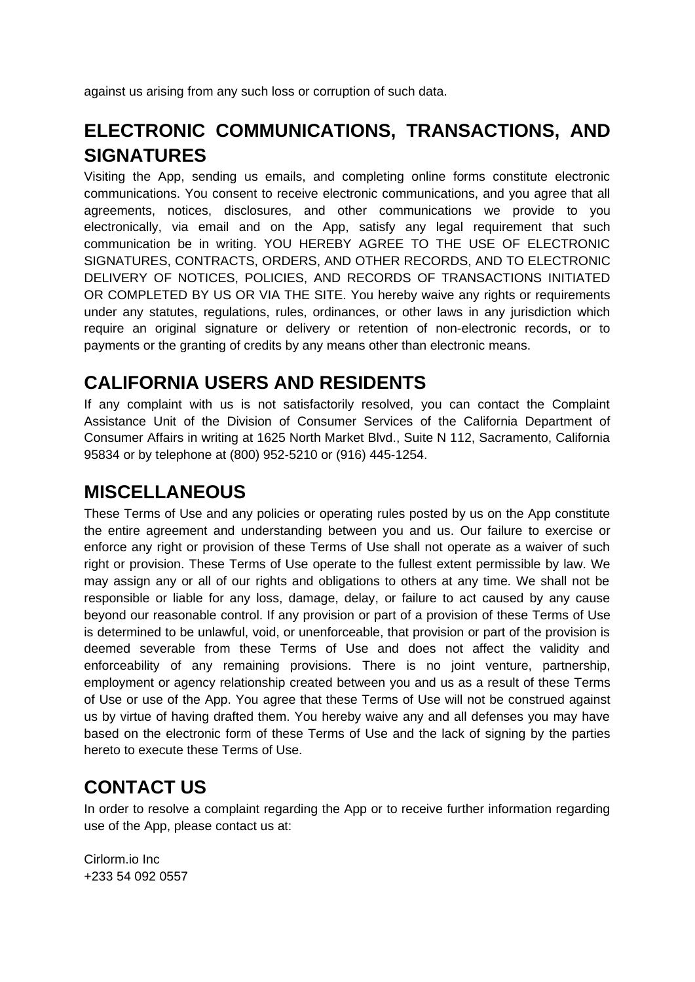against us arising from any such loss or corruption of such data.

# **ELECTRONIC COMMUNICATIONS, TRANSACTIONS, AND SIGNATURES**

Visiting the App, sending us emails, and completing online forms constitute electronic communications. You consent to receive electronic communications, and you agree that all agreements, notices, disclosures, and other communications we provide to you electronically, via email and on the App, satisfy any legal requirement that such communication be in writing. YOU HEREBY AGREE TO THE USE OF ELECTRONIC SIGNATURES, CONTRACTS, ORDERS, AND OTHER RECORDS, AND TO ELECTRONIC DELIVERY OF NOTICES, POLICIES, AND RECORDS OF TRANSACTIONS INITIATED OR COMPLETED BY US OR VIA THE SITE. You hereby waive any rights or requirements under any statutes, regulations, rules, ordinances, or other laws in any jurisdiction which require an original signature or delivery or retention of non-electronic records, or to payments or the granting of credits by any means other than electronic means.

### **CALIFORNIA USERS AND RESIDENTS**

If any complaint with us is not satisfactorily resolved, you can contact the Complaint Assistance Unit of the Division of Consumer Services of the California Department of Consumer Affairs in writing at 1625 North Market Blvd., Suite N 112, Sacramento, California 95834 or by telephone at (800) 952-5210 or (916) 445-1254.

# **MISCELLANEOUS**

These Terms of Use and any policies or operating rules posted by us on the App constitute the entire agreement and understanding between you and us. Our failure to exercise or enforce any right or provision of these Terms of Use shall not operate as a waiver of such right or provision. These Terms of Use operate to the fullest extent permissible by law. We may assign any or all of our rights and obligations to others at any time. We shall not be responsible or liable for any loss, damage, delay, or failure to act caused by any cause beyond our reasonable control. If any provision or part of a provision of these Terms of Use is determined to be unlawful, void, or unenforceable, that provision or part of the provision is deemed severable from these Terms of Use and does not affect the validity and enforceability of any remaining provisions. There is no joint venture, partnership, employment or agency relationship created between you and us as a result of these Terms of Use or use of the App. You agree that these Terms of Use will not be construed against us by virtue of having drafted them. You hereby waive any and all defenses you may have based on the electronic form of these Terms of Use and the lack of signing by the parties hereto to execute these Terms of Use.

### **CONTACT US**

In order to resolve a complaint regarding the App or to receive further information regarding use of the App, please contact us at:

Cirlorm.io Inc +233 54 092 0557